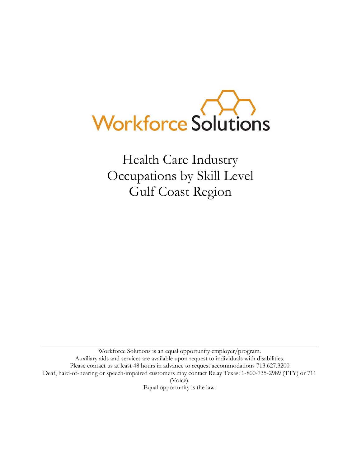

Health Care Industry Occupations by Skill Level Gulf Coast Region

Workforce Solutions is an equal opportunity employer/program. Auxiliary aids and services are available upon request to individuals with disabilities. Please contact us at least 48 hours in advance to request accommodations 713.627.3200 Deaf, hard-of-hearing or speech-impaired customers may contact [Relay Texas:](http://www.puc.state.tx.us/relaytexas/relay/CallTypes.aspx) 1-800-735-2989 (TTY) or 711 (Voice). [Equal opportunity is the law.](http://www.twc.state.tx.us/twcinfo/equal-opportunity.html)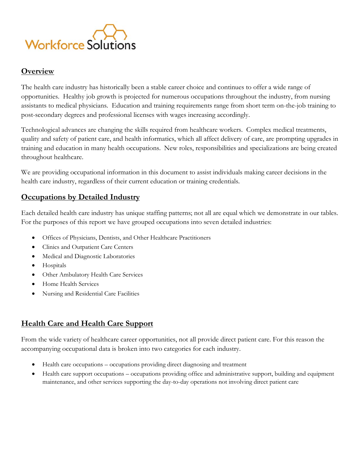

# **Overview**

The health care industry has historically been a stable career choice and continues to offer a wide range of opportunities. Healthy job growth is projected for numerous occupations throughout the industry, from nursing assistants to medical physicians. Education and training requirements range from short term on-the-job training to post-secondary degrees and professional licenses with wages increasing accordingly.

Technological advances are changing the skills required from healthcare workers. Complex medical treatments, quality and safety of patient care, and health informatics, which all affect delivery of care, are prompting upgrades in training and education in many health occupations. New roles, responsibilities and specializations are being created throughout healthcare.

We are providing occupational information in this document to assist individuals making career decisions in the health care industry, regardless of their current education or training credentials.

# **Occupations by Detailed Industry**

Each detailed health care industry has unique staffing patterns; not all are equal which we demonstrate in our tables. For the purposes of this report we have grouped occupations into seven detailed industries:

- Offices of Physicians, Dentists, and Other Healthcare Practitioners
- Clinics and Outpatient Care Centers
- Medical and Diagnostic Laboratories
- Hospitals
- Other Ambulatory Health Care Services
- Home Health Services
- Nursing and Residential Care Facilities

# **Health Care and Health Care Support**

From the wide variety of healthcare career opportunities, not all provide direct patient care. For this reason the accompanying occupational data is broken into two categories for each industry.

- Health care occupations occupations providing direct diagnosing and treatment
- Health care support occupations occupations providing office and administrative support, building and equipment maintenance, and other services supporting the day-to-day operations not involving direct patient care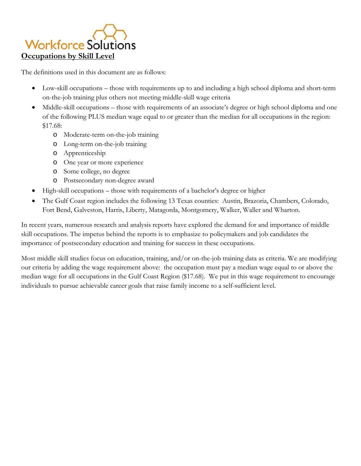

The definitions used in this document are as follows:

- Low-skill occupations those with requirements up to and including a high school diploma and short-term on-the-job training plus others not meeting middle-skill wage criteria
- Middle-skill occupations those with requirements of an associate's degree or high school diploma and one of the following PLUS median wage equal to or greater than the median for all occupations in the region: \$17.68:
	- o Moderate-term on-the-job training
	- o Long-term on-the-job training
	- o Apprenticeship
	- o One year or more experience
	- o Some college, no degree
	- o Postsecondary non-degree award
- High-skill occupations those with requirements of a bachelor's degree or higher
- The Gulf Coast region includes the following 13 Texas counties: Austin, Brazoria, Chambers, Colorado, Fort Bend, Galveston, Harris, Liberty, Matagorda, Montgomery, Walker, Waller and Wharton.

In recent years, numerous research and analysis reports have explored the demand for and importance of middle skill occupations. The impetus behind the reports is to emphasize to policymakers and job candidates the importance of postsecondary education and training for success in these occupations.

Most middle skill studies focus on education, training, and/or on-the-job training data as criteria. We are modifying our criteria by adding the wage requirement above: the occupation must pay a median wage equal to or above the median wage for all occupations in the Gulf Coast Region (\$17.68). We put in this wage requirement to encourage individuals to pursue achievable career goals that raise family income to a self-sufficient level.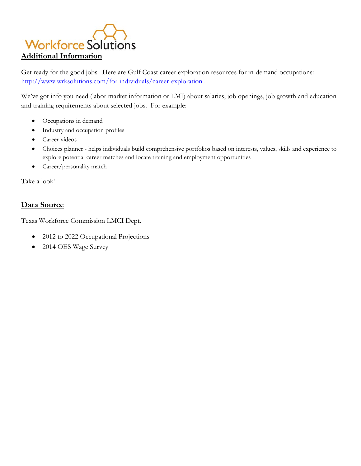

Get ready for the good jobs! Here are Gulf Coast career exploration resources for in-demand occupations: <http://www.wrksolutions.com/for-individuals/career-exploration> .

We've got info you need (labor market information or LMI) about salaries, job openings, job growth and education and training requirements about selected jobs. For example:

- Occupations in demand
- Industry and occupation profiles
- Career videos
- Choices planner helps individuals build comprehensive portfolios based on interests, values, skills and experience to explore potential career matches and locate training and employment opportunities
- Career/personality match

Take a look!

# **Data Source**

Texas Workforce Commission LMCI Dept.

- 2012 to 2022 Occupational Projections
- 2014 OES Wage Survey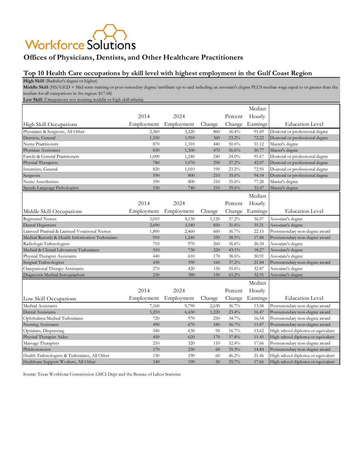# **Offices of Physicians, Dentists, and Other Healthcare Practitioners**

#### **Top 10 Health Care occupations by skill level with highest employment in the Gulf Coast Region**

High Skill (Bachelor's degree or higher)

**Middle Skill** (HS/GED + Mid-term training or post-secondary degree/certificate up to and including an associate's degree PLUS median wage equal to or greater than the median for all occupations in the region: \$17.68)

Low Skill (Occupations not meeting middle or high skill criteria)

|                                                  |            |            |        |          | Median   |                                   |
|--------------------------------------------------|------------|------------|--------|----------|----------|-----------------------------------|
|                                                  | 2014       | 2024       |        | Percent  | Hourly   |                                   |
| High Skill Occupations                           | Employment | Employment | Change | Change   | Earnings | <b>Education Level</b>            |
| Physicians & Surgeons, All Other                 | 2,360      | 3,220      | 860    | 36.4%    | 91.69    | Doctoral or professional degree   |
| Dentists, General                                | 1,550      | 1,910      | 360    | 23.2%    | 72.22    | Doctoral or professional degree   |
| <b>Nurse Practitioners</b>                       | 870        | 1,310      | 440    | 50.6%    | 51.12    | Master's degree                   |
| Physician Assistants                             | 830        | 1,300      | 470    | 56.6%    | 50.77    | Master's degree                   |
| Family & General Practitioners                   | 1,000      | 1,240      | 240    | 24.0%    | 91.67    | Doctoral or professional degree   |
| Physical Therapists                              | 780        | 1,070      | 290    | 37.2%    | 42.07    | Doctoral or professional degree   |
| Internists, General                              | 820        | 1,010      | 190    | 23.2%    | 72.95    | Doctoral or professional degree   |
| Surgeons                                         | 590        | 800        | 210    | 35.6%    | 94.54    | Doctoral or professional degree   |
| Nurse Anesthetists                               | 590        | 800        | 210    | 35.6%    | 77.28    | Master's degree                   |
| Speech-Language Pathologists                     | 530        | 740        | 210    | 39.6%    | 33.47    | Master's degree                   |
|                                                  |            |            |        |          | Median   |                                   |
|                                                  | 2014       | 2024       |        | Percent  | Hourly   |                                   |
| Middle Skill Occupations                         | Employment | Employment | Change | Change   | Earnings | <b>Education Level</b>            |
| <b>Registered Nurses</b>                         | 3,010      | 4,130      | 1,120  | 37.2%    | 36.07    | Associate's degree                |
| Dental Hygienists                                | 2,690      | 3,540      | 850    | 31.6%    | 35.21    | Associate's degree                |
| Licensed Practical & Licensed Vocational Nurses  | 1,800      | 2,460      | 660    | 36.7%    | 22.15    | Postsecondary non-degree award    |
| Medical Records & Health Information Technicians | 910        | 1,240      | 350    | 38.5%    | 17.88    | Postsecondary non-degree award    |
| Radiologic Technologists                         | 710        | 970        | 260    | 36.6%    | 26.34    | Associate's degree                |
| Medical & Clinical Laboratory Technicians        | 510        | 730        | 220    | 43.1%    | 18.27    | Associate's degree                |
| Physical Therapist Assistants                    | 440        | 610        | 170    | 38.6%    | 30.91    | Associate's degree                |
| Surgical Technologists                           | 430        | 590        | 160    | 37.2%    | 21.84    | Postsecondary non-degree award    |
| Occupational Therapy Assistants                  | 270        | 420        | 150    | 55.6%    | 32.87    | Associate's degree                |
| Diagnostic Medical Sonographers                  | 230        | 380        | 150    | $65.2\%$ | 32.91    | Associate's degree                |
|                                                  |            |            |        |          | Median   |                                   |
|                                                  | 2014       | 2024       |        | Percent  | Hourly   |                                   |
| Low Skill Occupations                            | Employment | Employment | Change | Change   | Earnings | <b>Education Level</b>            |
| Medical Assistants                               | 7,160      | 9,790      | 2,630  | 36.7%    | 13.58    | Postsecondary non-degree award    |
| Dental Assistants                                | 5,210      | 6,430      | 1,220  | 23.4%    | 16.47    | Postsecondary non-degree award    |
| Ophthalmic Medical Technicians                   | 720        | 970        | 250    | 34.7%    | 16.54    | Postsecondary non-degree award    |
| Nursing Assistants                               | 490        | 670        | 180    | 36.7%    | 11.87    | Postsecondary non-degree award    |
| Opticians, Dispensing                            | 540        | 630        | 90     | 16.7%    | 13.62    | High school diploma or equivalent |
| Physical Therapist Aides                         | 450        | 620        | 170    | 37.8%    | 11.45    | High school diploma or equivalent |
| Massage Therapists                               | 210        | 320        | 110    | 52.4%    | 17.66    | Postsecondary non-degree award    |
| Phlebotomists                                    | 170        | 230        | 60     | 35.3%    | 14.84    | Postsecondary non-degree award    |
| Health Technologists & Technicians, All Other    | 130        | 190        | 60     | 46.2%    | 21.46    | High school diploma or equivalent |
| Healthcare Support Workers, All Other            | 140        | 190        | 50     | 35.7%    | 17.66    | High school diploma or equivalent |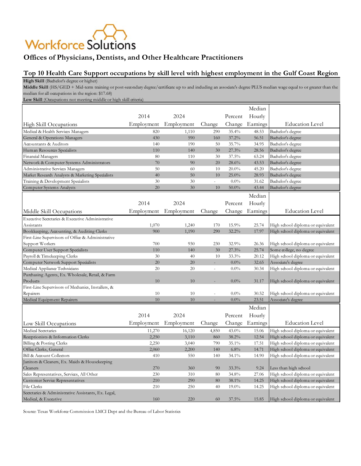# **Offices of Physicians, Dentists, and Other Healthcare Practitioners**

#### **Top 10 Health Care Support occupations by skill level with highest employment in the Gulf Coast Region**

High Skill (Bachelor's degree or higher)

**Middle Skill** (HS/GED + Mid-term training or post-secondary degree/certificate up to and including an associate's degree PLUS median wage equal to or greater than the median for all occupations in the region: \$17.68)

Low Skill (Occupations not meeting middle or high skill criteria)

|                                                     |                       |            |                     |          | Median   |                                   |
|-----------------------------------------------------|-----------------------|------------|---------------------|----------|----------|-----------------------------------|
|                                                     | 2014                  | 2024       |                     | Percent  | Hourly   |                                   |
| High Skill Occupations                              | Employment            | Employment | Change              | Change   | Earnings | <b>Education Level</b>            |
| Medical & Health Services Managers                  | 820                   | 1,110      | 290                 | 35.4%    | 48.53    | Bachelor's degree                 |
| General & Operations Managers                       | 430                   | 590        | 160                 | 37.2%    | 56.51    | Bachelor's degree                 |
| Accountants & Auditors                              | 140                   | 190        | 50                  | 35.7%    | 34.95    | Bachelor's degree                 |
| Human Resources Specialists                         | 110                   | 140        | 30                  | 27.3%    | 28.56    | Bachelor's degree                 |
| Financial Managers                                  | 80                    | 110        | 30                  | 37.5%    | 63.24    | Bachelor's degree                 |
| Network & Computer Systems Administrators           | 70                    | 90         | 20                  | 28.6%    | 43.53    | Bachelor's degree                 |
| Administrative Services Managers                    | 50                    | 60         | 10                  | 20.0%    | 45.20    | Bachelor's degree                 |
| Market Research Analysts & Marketing Specialists    | 40                    | 50         | 10                  | 25.0%    | 28.93    | Bachelor's degree                 |
| Training & Development Specialists                  | 30                    | 30         | $\bar{\phantom{a}}$ | $0.0\%$  | 31.62    | Bachelor's degree                 |
| Computer Systems Analysts                           | 20                    | 30         | 10                  | $50.0\%$ | 43.44    | Bachelor's degree                 |
|                                                     |                       |            |                     |          | Median   |                                   |
|                                                     | 2014                  | 2024       |                     | Percent  | Hourly   |                                   |
| Middle Skill Occupations                            | Employment Employment |            | Change              | Change   | Earnings | <b>Education Level</b>            |
| Executive Secretaries & Executive Administrative    |                       |            |                     |          |          |                                   |
| Assistants                                          | 1,070                 | 1,240      | 170                 | 15.9%    | 25.74    | High school diploma or equivalent |
| Bookkeeping, Accounting, & Auditing Clerks          | 900                   | 1,190      | 290                 | 32.2%    | 17.97    | High school diploma or equivalent |
| First-Line Supervisors of Office & Administrative   |                       |            |                     |          |          |                                   |
| Support Workers                                     | 700                   | 930        | 230                 | 32.9%    | 26.36    | High school diploma or equivalent |
| Computer User Support Specialists                   | 110                   | 140        | 30                  | 27.3%    | 25.74    | Some college, no degree           |
| Payroll & Timekeeping Clerks                        | 30                    | 40         | 10                  | 33.3%    | 20.12    | High school diploma or equivalent |
| Computer Network Support Specialists                | 20                    | 20         |                     | $0.0\%$  | 32.65    | Associate's degree                |
| Medical Appliance Technicians                       | 20                    | 20         | $\overline{a}$      | $0.0\%$  | 30.34    | High school diploma or equivalent |
| Purchasing Agents, Ex. Wholesale, Retail, & Farm    |                       |            |                     |          |          |                                   |
| Products                                            | 10                    | 10         |                     | $0.0\%$  | 31.17    | High school diploma or equivalent |
| First-Line Supervisors of Mechanics, Installers, &  |                       |            |                     |          |          |                                   |
| Repairers                                           | 10                    | 10         |                     | 0.0%     | 30.52    | High school diploma or equivalent |
| Medical Equipment Repairers                         | 10                    | 10         |                     | 0.0%     | 23.51    | Associate's degree                |
|                                                     |                       |            |                     |          | Median   |                                   |
|                                                     | 2014                  | 2024       |                     | Percent  | Hourly   |                                   |
| Low Skill Occupations                               | Employment            | Employment | Change              | Change   | Earnings | <b>Education Level</b>            |
| Medical Secretaries                                 | 11,270                | 16,120     | 4,850               | 43.0%    | 15.06    | High school diploma or equivalent |
| Receptionists & Information Clerks                  | 2,250                 | 3,110      | 860                 | 38.2%    | 12.54    | High school diploma or equivalent |
| Billing & Posting Clerks                            | 2,250                 | 3,040      | 790                 | 35.1%    | 17.51    | High school diploma or equivalent |
| Office Clerks, General                              | 2,060                 | 2,200      | 140                 | 6.8%     | 14.71    | High school diploma or equivalent |
| Bill & Account Collectors                           | 410                   | 550        | 140                 | 34.1%    | 14.90    | High school diploma or equivalent |
| Janitors & Cleaners, Ex. Maids & Housekeeping       |                       |            |                     |          |          |                                   |
| Cleaners                                            | 270                   | 360        | 90                  | 33.3%    | 9.24     | Less than high school             |
| Sales Representatives, Services, All Other          | 230                   | 310        | 80                  | 34.8%    | 27.06    | High school diploma or equivalent |
| <b>Customer Service Representatives</b>             | 210                   | 290        | 80                  | 38.1%    | 14.25    | High school diploma or equivalent |
| <b>File Clerks</b>                                  | 210                   | 250        | 40                  | $19.0\%$ | 14.25    | High school diploma or equivalent |
| Secretaries & Administrative Assistants, Ex. Legal, |                       |            |                     |          |          |                                   |
| Medical, & Executive                                | 160                   | 220        | 60                  | 37.5%    | 15.85    | High school diploma or equivalent |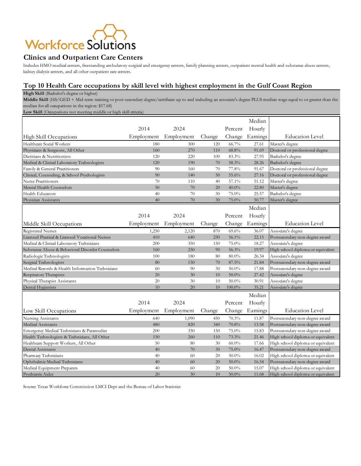### **Clinics and Outpatient Care Centers**

Includes HMO medical centers, freestanding ambulatory surgical and emergency centers, family planning centers, outpatient mental health and substance abuse centers, kidney dialysis centers, and all other outpatient care centers.

#### **Top 10 Health Care occupations by skill level with highest employment in the Gulf Coast Region**

**High Skill** (Bachelor's degree or higher)

**Middle Skill** (HS/GED + Mid-term training or post-secondary degree/certificate up to and including an associate's degree PLUS median wage equal to or greater than the median for all occupations in the region: \$17.68)

Low Skill (Occupations not meeting middle or high skill criteria)

|                                                  |                       |            |        |          | Median   |                                   |
|--------------------------------------------------|-----------------------|------------|--------|----------|----------|-----------------------------------|
|                                                  | 2014                  | 2024       |        | Percent  | Hourly   |                                   |
| High Skill Occupations                           | Employment Employment |            | Change | Change   | Earnings | <b>Education Level</b>            |
| Healthcare Social Workers                        | 180                   | 300        | 120    | 66.7%    | 27.61    | Master's degree                   |
| Physicians & Surgeons, All Other                 | 160                   | 270        | 110    | 68.8%    | 91.69    | Doctoral or professional degree   |
| Dietitians & Nutritionists                       | 120                   | 220        | 100    | 83.3%    | 27.95    | Bachelor's degree                 |
| Medical & Clinical Laboratory Technologists      | 120                   | 190        | 70     | 58.3%    | 28.26    | Bachelor's degree                 |
| Family & General Practitioners                   | 90                    | 160        | 70     | 77.8%    | 91.67    | Doctoral or professional degree   |
| Clinical, Counseling, & School Psychologists     | 90                    | 140        | 50     | 55.6%    | 27.16    | Doctoral or professional degree   |
| Nurse Practitioners                              | 70                    | 110        | 40     | 57.1%    | 51.12    | Master's degree                   |
| Mental Health Counselors                         | 50                    | 70         | 20     | $40.0\%$ | 22.80    | Master's degree                   |
| Health Educators                                 | 40                    | 70         | 30     | 75.0%    | 25.57    | Bachelor's degree                 |
| Physician Assistants                             | 40                    | 70         | 30     | 75.0%    | 50.77    | Master's degree                   |
|                                                  |                       |            |        |          | Median   |                                   |
|                                                  | 2014                  | 2024       |        | Percent  | Hourly   |                                   |
|                                                  |                       |            |        |          |          |                                   |
| Middle Skill Occupations                         | Employment            | Employment | Change | Change   | Earnings | <b>Education Level</b>            |
| <b>Registered Nurses</b>                         | 1,250                 | 2,120      | 870    | 69.6%    | 36.07    | Associate's degree                |
| Licensed Practical & Licensed Vocational Nurses  | 410                   | 640        | 230    | 56.1%    | 22.15    | Postsecondary non-degree award    |
| Medical & Clinical Laboratory Technicians        | 200                   | 350        | 150    | 75.0%    | 18.27    | Associate's degree                |
| Substance Abuse & Behavioral Disorder Counselors | 160                   | 250        | 90     | 56.3%    | 19.97    | High school diploma or equivalent |
| Radiologic Technologists                         | 100                   | 180        | 80     | $80.0\%$ | 26.34    | Associate's degree                |
| Surgical Technologists                           | 80                    | 150        | 70     | 87.5%    | 21.84    | Postsecondary non-degree award    |
| Medical Records & Health Information Technicians | 60                    | 90         | 30     | $50.0\%$ | 17.88    | Postsecondary non-degree award    |
| Respiratory Therapists                           | 20                    | 30         | 10     | $50.0\%$ | 27.42    | Associate's degree                |
| Physical Therapist Assistants                    | 20                    | 30         | 10     | $50.0\%$ | 30.91    | Associate's degree                |
| Dental Hygienists                                | 10                    | 20         | 10     | 100.0%   | 35.21    | Associate's degree                |
|                                                  |                       |            |        |          | Median   |                                   |
|                                                  | 2014                  | 2024       |        | Percent  | Hourly   |                                   |
| Low Skill Occupations                            | Employment            | Employment | Change | Change   | Earnings | <b>Education Level</b>            |
| Nursing Assistants                               | 640                   | 1,090      | 450    | 70.3%    | 11.87    | Postsecondary non-degree award    |
| Medical Assistants                               | 480                   | 820        | 340    | 70.8%    | 13.58    | Postsecondary non-degree award    |
| Emergency Medical Technicians & Paramedics       | 200                   | 350        | 150    | 75.0%    | 15.83    | Postsecondary non-degree award    |
| Health Technologists & Technicians, All Other    | 150                   | 260        | 110    | 73.3%    | 21.46    | High school diploma or equivalent |
| Healthcare Support Workers, All Other            | 50                    | 80         | 30     | $60.0\%$ | 17.66    | High school diploma or equivalent |
| Dental Assistants                                | 40                    | 70         | 30     | 75.0%    | 16.47    | Postsecondary non-degree award    |
| Pharmacy Technicians                             | 40                    | 60         | 20     | $50.0\%$ | 16.02    | High school diploma or equivalent |
| Ophthalmic Medical Technicians                   | 40                    | 60         | 20     | $50.0\%$ | 16.54    | Postsecondary non-degree award    |
| Medical Equipment Preparers                      | 40                    | 60         | 20     | $50.0\%$ | 15.07    | High school diploma or equivalent |
| Psychiatric Aides                                | 20                    | 30         | 10     | $50.0\%$ | 11.68    | High school diploma or equivalent |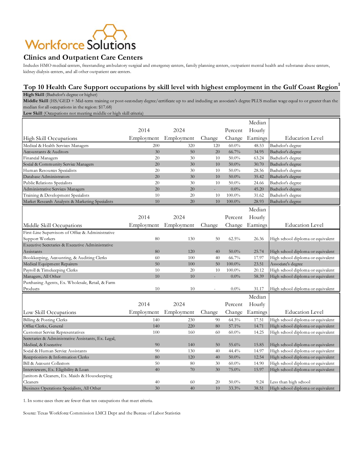### **Clinics and Outpatient Care Centers**

Includes HMO medical centers, freestanding ambulatory surgical and emergency centers, family planning centers, outpatient mental health and substance abuse centers, kidney dialysis centers, and all other outpatient care centers.

#### **Top 10 Health Care Support occupations by skill level with highest employment in the Gulf Coast Region<sup>1</sup>**

**High Skill** (Bachelor's degree or higher)

**Middle Skill** (HS/GED + Mid-term training or post-secondary degree/certificate up to and including an associate's degree PLUS median wage equal to or greater than the median for all occupations in the region: \$17.68)

Low Skill (Occupations not meeting middle or high skill criteria)

|                                                     |            |                       |        |           | Median   |                                   |
|-----------------------------------------------------|------------|-----------------------|--------|-----------|----------|-----------------------------------|
|                                                     | 2014       | 2024                  |        | Percent   | Hourly   |                                   |
| High Skill Occupations                              | Employment | Employment            | Change | Change    | Earnings | <b>Education Level</b>            |
| Medical & Health Services Managers                  | 200        | 320                   | 120    | $60.0\%$  | 48.53    | Bachelor's degree                 |
| Accountants & Auditors                              | 30         | 50                    | 20     | 66.7%     | 34.95    | Bachelor's degree                 |
| Financial Managers                                  | 20         | 30                    | 10     | $50.0\%$  | 63.24    | Bachelor's degree                 |
| Social & Community Service Managers                 | 20         | 30                    | 10     | $50.0\%$  | 30.70    | Bachelor's degree                 |
| Human Resources Specialists                         | 20         | 30                    | 10     | $50.0\%$  | 28.56    | Bachelor's degree                 |
| Database Administrators                             | 20         | 30                    | 10     | $50.0\%$  | 35.42    | Bachelor's degree                 |
| Public Relations Specialists                        | 20         | 30                    | 10     | $50.0\%$  | 24.66    | Bachelor's degree                 |
| <b>Administrative Services Managers</b>             | 20         | 20                    | ÷.     | $0.0\%$   | 45.20    | Bachelor's degree                 |
| Training & Development Specialists                  | 10         | 20                    | 10     | $100.0\%$ | 31.62    | Bachelor's degree                 |
| Market Research Analysts & Marketing Specialists    | 10         | 20                    | 10     | $100.0\%$ | 28.93    | Bachelor's degree                 |
|                                                     |            |                       |        |           | Median   |                                   |
|                                                     | 2014       | 2024                  |        | Percent   | Hourly   |                                   |
| Middle Skill Occupations                            |            | Employment Employment | Change | Change    | Earnings | <b>Education Level</b>            |
| First-Line Supervisors of Office & Administrative   |            |                       |        |           |          |                                   |
| Support Workers                                     | 80         | 130                   | 50     | $62.5\%$  | 26.36    | High school diploma or equivalent |
| Executive Secretaries & Executive Administrative    |            |                       |        |           |          |                                   |
| Assistants                                          | 80         | 120                   | 40     | $50.0\%$  | 25.74    | High school diploma or equivalent |
| Bookkeeping, Accounting, & Auditing Clerks          | 60         | 100                   | 40     | 66.7%     | 17.97    | High school diploma or equivalent |
| Medical Equipment Repairers                         | 50         | 100                   | 50     | 100.0%    | 23.51    | Associate's degree                |
| Payroll & Timekeeping Clerks                        | 10         | 20                    | 10     | 100.0%    | 20.12    | High school diploma or equivalent |
| Managers, All Other                                 | 10         | 10                    |        | 0.0%      | 58.39    | High school diploma or equivalent |
| Purchasing Agents, Ex. Wholesale, Retail, & Farm    |            |                       |        |           |          |                                   |
| Products                                            | 10         | 10                    |        | $0.0\%$   | 31.17    | High school diploma or equivalent |
|                                                     |            |                       |        |           | Median   |                                   |
|                                                     | 2014       | 2024                  |        | Percent   | Hourly   |                                   |
| Low Skill Occupations                               | Employment | Employment            | Change | Change    | Earnings | <b>Education</b> Level            |
| Billing & Posting Clerks                            | 140        | 230                   | 90     | 64.3%     | 17.51    | High school diploma or equivalent |
| Office Clerks, General                              | 140        | 220                   | 80     | 57.1%     | 14.71    | High school diploma or equivalent |
| <b>Customer Service Representatives</b>             | 100        | 160                   | 60     | $60.0\%$  | 14.25    | High school diploma or equivalent |
| Secretaries & Administrative Assistants, Ex. Legal, |            |                       |        |           |          |                                   |
| Medical, & Executive                                | 90         | 140                   | 50     | 55.6%     | 15.85    | High school diploma or equivalent |
| Social & Human Service Assistants                   | 90         | 130                   | 40     | 44.4%     | 14.97    | High school diploma or equivalent |
| Receptionists & Information Clerks                  | 80         | 120                   | 40     | $50.0\%$  | 12.54    | High school diploma or equivalent |
| Bill & Account Collectors                           | 50         | 80                    | 30     | $60.0\%$  | 14.90    | High school diploma or equivalent |
| Interviewers, Ex. Eligibility & Loan                | 40         | 70                    | 30     | 75.0%     | 15.97    | High school diploma or equivalent |
| Janitors & Cleaners, Ex. Maids & Housekeeping       |            |                       |        |           |          |                                   |
| Cleaners                                            | 40         | 60                    | 20     | $50.0\%$  | 9.24     | Less than high school             |
| Business Operations Specialists, All Other          | 30         | 40                    | 10     | 33.3%     | 38.51    | High school diploma or equivalent |

1. In some cases there are fewer than ten occupations that meet criteria.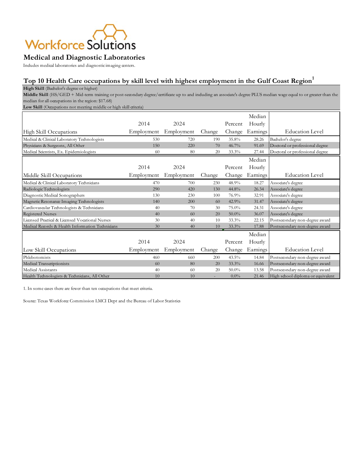

#### **Medical and Diagnostic Laboratories**

Indudes medical laboratories and diagnostic imaging centers.

## **Top 10 Health Care occupations by skill level with highest employment in the Gulf Coast Region<sup>1</sup>**

**High Skill** (Bachelor's degree or higher)

**Middle Skill** (HS/GED + Mid-term training or post-secondary degree/certificate up to and including an associate's degree PLUS median wage equal to or greater than the median for all occupations in the region: \$17.68)

Low Skill (Occupations not meeting middle or high skill criteria)

|                                                  |            |            |        |          | Median   |                                   |
|--------------------------------------------------|------------|------------|--------|----------|----------|-----------------------------------|
|                                                  | 2014       | 2024       |        | Percent  | Hourly   |                                   |
| High Skill Occupations                           | Employment | Employment | Change | Change   | Earnings | <b>Education Level</b>            |
| Medical & Clinical Laboratory Technologists      | 530        | 720        | 190    | 35.8%    | 28.26    | Bachelor's degree                 |
| Physicians & Surgeons, All Other                 | 150        | 220        | 70     | 46.7%    | 91.69    | Doctoral or professional degree   |
| Medical Scientists, Ex. Epidemiologists          | 60         | 80         | 20     | 33.3%    | 27.44    | Doctoral or professional degree   |
|                                                  |            |            |        |          | Median   |                                   |
|                                                  | 2014       | 2024       |        | Percent  | Hourly   |                                   |
| Middle Skill Occupations                         | Employment | Employment | Change | Change   | Earnings | <b>Education Level</b>            |
| Medical & Clinical Laboratory Technicians        | 470        | 700        | 230    | 48.9%    | 18.27    | Associate's degree                |
| Radiologic Technologists                         | 290        | 420        | 130    | 44.8%    | 26.34    | Associate's degree                |
| Diagnostic Medical Sonographers                  | 130        | 230        | 100    | 76.9%    | 32.91    | Associate's degree                |
| Magnetic Resonance Imaging Technologists         | 140        | 200        | 60     | 42.9%    | 31.47    | Associate's degree                |
| Cardiovascular Technologists & Technicians       | 40         | 70         | 30     | 75.0%    | 24.31    | Associate's degree                |
| <b>Registered Nurses</b>                         | 40         | 60         | 20     | $50.0\%$ | 36.07    | Associate's degree                |
| Licensed Practical & Licensed Vocational Nurses  | 30         | 40         | 10     | 33.3%    | 22.15    | Postsecondary non-degree award    |
| Medical Records & Health Information Technicians | 30         | 40         | 10     | 33.3%    | 17.88    | Postsecondary non-degree award    |
|                                                  |            |            |        |          | Median   |                                   |
|                                                  | 2014       | 2024       |        | Percent  | Hourly   |                                   |
| Low Skill Occupations                            | Employment | Employment | Change | Change   | Earnings | <b>Education Level</b>            |
| Phlebotomists                                    | 460        | 660        | 200    | $43.5\%$ | 14.84    | Postsecondary non-degree award    |
| Medical Transcriptionists                        | 60         | 80         | 20     | 33.3%    | 16.66    | Postsecondary non-degree award    |
| Medical Assistants                               | 40         | 60         | 20     | $50.0\%$ | 13.58    | Postsecondary non-degree award    |
| Health Technologists & Technicians, All Other    | 10         | 10         |        | $0.0\%$  | 21.46    | High school diploma or equivalent |

1. In some cases there are fewer than ten occupations that meet criteria.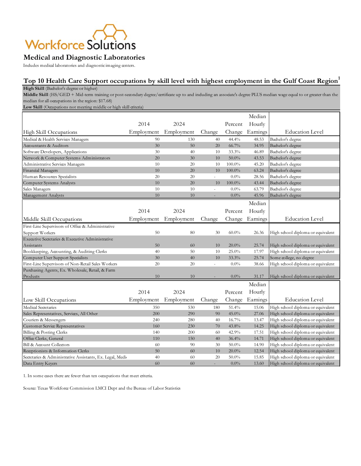

#### **Medical and Diagnostic Laboratories**

Indudes medical laboratories and diagnostic imaging centers.

### **Top 10 Health Care Support occupations by skill level with highest employment in the Gulf Coast Region<sup>1</sup>**

**High Skill** (Bachelor's degree or higher)

**Middle Skill** (HS/GED + Mid-term training or post-secondary degree/certificate up to and including an associate's degree PLUS median wage equal to or greater than the median for all occupations in the region: \$17.68)

Low Skill (Occupations not meeting middle or high skill criteria)

|                                                           |            |            |                          |           | Median   |                                   |
|-----------------------------------------------------------|------------|------------|--------------------------|-----------|----------|-----------------------------------|
|                                                           | 2014       | 2024       |                          | Percent   | Hourly   |                                   |
| High Skill Occupations                                    | Employment | Employment | Change                   | Change    | Earnings | <b>Education</b> Level            |
| Medical & Health Services Managers                        | 90         | 130        | 40                       | 44.4%     | 48.53    | Bachelor's degree                 |
| Accountants & Auditors                                    | 30         | 50         | 20                       | $66.7\%$  | 34.95    | Bachelor's degree                 |
| Software Developers, Applications                         | 30         | 40         | 10                       | 33.3%     | 46.89    | Bachelor's degree                 |
| Network & Computer Systems Administrators                 | 20         | 30         | 10                       | $50.0\%$  | 43.53    | Bachelor's degree                 |
| Administrative Services Managers                          | 10         | 20         | 10                       | $100.0\%$ | 45.20    | Bachelor's degree                 |
| Financial Managers                                        | 10         | 20         | 10                       | $100.0\%$ | 63.24    | Bachelor's degree                 |
| Human Resources Specialists                               | 20         | 20         | ÷,                       | $0.0\%$   | 28.56    | Bachelor's degree                 |
| Computer Systems Analysts                                 | 10         | 20         | 10                       | $100.0\%$ | 43.44    | Bachelor's degree                 |
| Sales Managers                                            | 10         | 10         | $\overline{\phantom{a}}$ | $0.0\%$   | 63.79    | Bachelor's degree                 |
| Management Analysts                                       | 10         | 10         | u,                       | 0.0%      | 45.96    | Bachelor's degree                 |
|                                                           |            |            |                          |           | Median   |                                   |
|                                                           | 2014       | 2024       |                          | Percent   | Hourly   |                                   |
| Middle Skill Occupations                                  | Employment | Employment | Change                   | Change    | Earnings | <b>Education</b> Level            |
| First-Line Supervisors of Office & Administrative         |            |            |                          |           |          |                                   |
| Support Workers                                           | 50         | 80         | 30                       | $60.0\%$  | 26.36    | High school diploma or equivalent |
| Executive Secretaries & Executive Administrative          |            |            |                          |           |          |                                   |
| Assistants                                                | 50         | 60         | 10                       | $20.0\%$  | 25.74    | High school diploma or equivalent |
| Bookkeeping, Accounting, & Auditing Clerks                | 40         | 50         | 10                       | 25.0%     | 17.97    | High school diploma or equivalent |
| Computer User Support Specialists                         | 30         | 40         | 10                       | 33.3%     | 25.74    | Some college, no degree           |
| First-Line Supervisors of Non-Retail Sales Workers        | 20         | 20         | $\overline{a}$           | $0.0\%$   | 38.66    | High school diploma or equivalent |
| Purchasing Agents, Ex. Wholesale, Retail, & Farm          |            |            |                          |           |          |                                   |
| Products                                                  | $10\,$     | $10\,$     |                          | $0.0\%$   | 31.17    | High school diploma or equivalent |
|                                                           |            |            |                          |           | Median   |                                   |
|                                                           | 2014       | 2024       |                          | Percent   | Hourly   |                                   |
| Low Skill Occupations                                     | Employment | Employment | Change                   | Change    | Earnings | <b>Education Level</b>            |
| Medical Secretaries                                       | 350        | 530        | 180                      | 51.4%     | 15.06    | High school diploma or equivalent |
| Sales Representatives, Services, All Other                | 200        | 290        | 90                       | 45.0%     | 27.06    | High school diploma or equivalent |
| Couriers & Messengers                                     | 240        | 280        | 40                       | $16.7\%$  | 13.47    | High school diploma or equivalent |
| <b>Customer Service Representatives</b>                   | 160        | 230        | 70                       | 43.8%     | 14.25    | High school diploma or equivalent |
| Billing & Posting Clerks                                  | 140        | 200        | 60                       | 42.9%     | 17.51    | High school diploma or equivalent |
| Office Clerks, General                                    | 110        | 150        | 40                       | 36.4%     | 14.71    | High school diploma or equivalent |
| Bill & Account Collectors                                 | 60         | 90         | 30                       | $50.0\%$  | 14.90    | High school diploma or equivalent |
| Receptionists & Information Clerks                        | 50         | 60         | 10                       | $20.0\%$  | 12.54    | High school diploma or equivalent |
| Secretaries & Administrative Assistants, Ex. Legal, Medi- | 40         | 60         | 20                       | $50.0\%$  | 15.85    | High school diploma or equivalent |
| Data Entry Keyers                                         | 60         | 60         |                          | $0.0\%$   | 13.60    | High school diploma or equivalent |

1. In some cases there are fewer than ten occupations that meet criteria.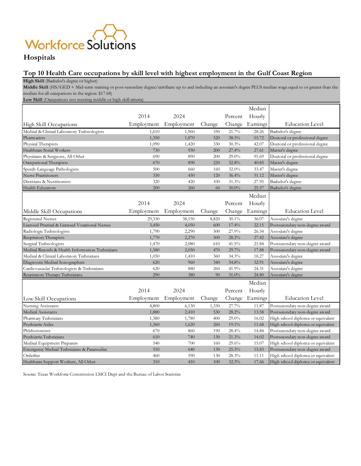

# **Hospitals**

#### **Top 10 Health Care occupations by skill level with highest employment in the Gulf Coast Region**

High Skill (Bachelor's degree or higher)

**Middle Skill** (HS/GED + Mid-term training or post-secondary degree/certificate up to and including an associate's degree PLUS median wage equal to or greater than the median for all occupations in the region: \$17.68)

Low Skill (Occupations not meeting middle or high skill criteria)

|                                                  |            |            |        |          | Median   |                                   |
|--------------------------------------------------|------------|------------|--------|----------|----------|-----------------------------------|
|                                                  | 2014       | 2024       |        | Percent  | Hourly   |                                   |
| High Skill Occupations                           | Employment | Employment | Change | Change   | Earnings | <b>Education</b> Level            |
| Medical & Clinical Laboratory Technologists      | 1,610      | 1,960      | 350    | 21.7%    | 28.26    | Bachelor's degree                 |
| Pharmacists                                      | 1,350      | 1,870      | 520    | 38.5%    | 55.72    | Doctoral or professional degree   |
| Physical Therapists                              | 1,090      | 1,420      | 330    | 30.3%    | 42.07    | Doctoral or professional degree   |
| Healthcare Social Workers                        | 730        | 930        | 200    | 27.4%    | 27.61    | Master's degree                   |
| Physicians & Surgeons, All Other                 | 690        | 890        | 200    | $29.0\%$ | 91.69    | Doctoral or professional degree   |
| Occupational Therapists                          | 670        | 890        | 220    | 32.8%    | 40.85    | Master's degree                   |
| Speech-Language Pathologists                     | 500        | 660        | 160    | 32.0%    | 33.47    | Master's degree                   |
| <b>Nurse Practitioners</b>                       | 330        | 450        | 120    | 36.4%    | 51.12    | Master's degree                   |
| Dietitians & Nutritionists                       | 320        | 420        | 100    | 31.3%    | 27.95    | Bachelor's degree                 |
| Health Educators                                 | 200        | 260        | 60     | $30.0\%$ | 25.57    | Bachelor's degree                 |
|                                                  |            |            |        |          | Median   |                                   |
|                                                  | 2014       | 2024       |        | Percent  | Hourly   |                                   |
| Middle Skill Occupations                         | Employment | Employment | Change | Change   | Earnings | <b>Education Level</b>            |
| <b>Registered Nurses</b>                         | 29,330     | 38,150     | 8,820  | $30.1\%$ | 36.07    | Associate's degree                |
| Licensed Practical & Licensed Vocational Nurses  | 3,450      | 4,050      | 600    | 17.4%    | 22.15    | Postsecondary non-degree award    |
| Radiologic Technologists                         | 1,790      | 2,290      | 500    | 27.9%    | 26.34    | Associate's degree                |
| Respiratory Therapists                           | 1,770      | 2,270      | 500    | 28.2%    | 27.42    | Associate's degree                |
| Surgical Technologists                           | 1,470      | 2,080      | 610    | 41.5%    | 21.84    | Postsecondary non-degree award    |
| Medical Records & Health Information Technicians | 1,580      | 2,050      | 470    | 29.7%    | 17.88    | Postsecondary non-degree award    |
| Medical & Clinical Laboratory Technicians        | 1,050      | 1,410      | 360    | 34.3%    | 18.27    | Associate's degree                |
| Diagnostic Medical Sonographers                  | 620        | 960        | 340    | 54.8%    | 32.91    | Associate's degree                |
| Cardiovascular Technologists & Technicians       | 620        | 880        | 260    | 41.9%    | 24.31    | Associate's degree                |
| Respiratory Therapy Technicians                  | 290        | 380        | 90     | 31.0%    | 24.80    | Associate's degree                |
|                                                  |            |            |        |          | Median   |                                   |
|                                                  | 2014       | 2024       |        | Percent  | Hourly   |                                   |
| Low Skill Occupations                            | Employment | Employment | Change | Change   | Earnings | <b>Education Level</b>            |
| Nursing Assistants                               | 4,800      | 6,130      | 1,330  | 27.7%    | 11.87    | Postsecondary non-degree award    |
| <b>Medical Assistants</b>                        | 1,880      | 2,410      | 530    | 28.2%    | 13.58    | Postsecondary non-degree award    |
| Pharmacy Technicians                             | 1,380      | 1,780      | 400    | $29.0\%$ | 16.02    | High school diploma or equivalent |
| Psychiatric Aides                                | 1,360      | 1,620      | 260    | 19.1%    | 11.68    | High school diploma or equivalent |
| Phlebotomists                                    | 670        | 860        | 190    | 28.4%    | 14.84    | Postsecondary non-degree award    |
| Psychiatric Technicians                          | 610        | 740        | 130    | 21.3%    | 14.02    | Postsecondary non-degree award    |
| Medical Equipment Preparers                      | 540        | 700        | 160    | 29.6%    | 15.07    | High school diploma or equivalent |
| Emergency Medical Technicians & Paramedics       | 510        | 640        | 130    | 25.5%    | 15.83    | Postsecondary non-degree award    |
| Orderlies                                        | 460        | 590        | 130    | 28.3%    | 11.11    | High school diploma or equivalent |
| Healthcare Support Workers, All Other            | 310        | 410        | 100    | 32.3%    | 17.66    | High school diploma or equivalent |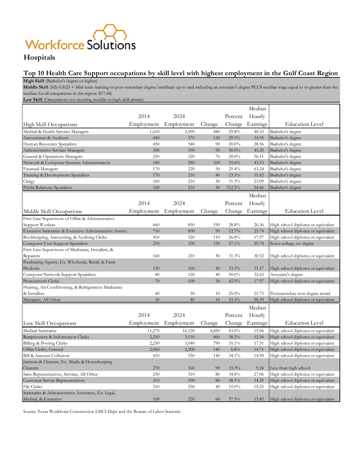

# **Hospitals**

#### **Top 10 Health Care Support occupations by skill level with highest employment in the Gulf Coast Region**

High Skill (Bachelor's degree or higher)

**Middle Skill** (HS/GED + Mid-term training or post-secondary degree/certificate up to and including an associate's degree PLUS median wage equal to or greater than the median for all occupations in the region: \$17.68)

Low Skill (Occupations not meeting middle or high skill criteria)

|                                                          |            |            |        |          | Median   |                                   |
|----------------------------------------------------------|------------|------------|--------|----------|----------|-----------------------------------|
|                                                          | 2014       | 2024       |        | Percent  | Hourly   |                                   |
| High Skill Occupations                                   | Employment | Employment | Change | Change   | Earnings | <b>Education Level</b>            |
| Medical & Health Services Managers                       | 1,610      | 2,090      | 480    | 29.8%    | 48.53    | Bachelor's degree                 |
| Accountants & Auditors                                   | 440        | 570        | 130    | 29.5%    | 34.95    | Bachelor's degree                 |
| Human Resources Specialists                              | 450        | 540        | 90     | $20.0\%$ | 28.56    | Bachelor's degree                 |
| Administrative Services Managers                         | 300        | 390        | 90     | $30.0\%$ | 45.20    | Bachelor's degree                 |
| General & Operations Managers                            | 250        | 320        | 70     | 28.0%    | 56.51    | Bachelor's degree                 |
| Network & Computer Systems Administrators                | 180        | 280        | 100    | 55.6%    | 43.53    | Bachelor's degree                 |
| Financial Managers                                       | 170        | 220        | 50     | 29.4%    | 63.24    | Bachelor's degree                 |
| Training & Development Specialists                       | 170        | 210        | 40     | 23.5%    | 31.62    | Bachelor's degree                 |
| Clergy                                                   | 160        | 210        | 50     | 31.3%    | 23.09    | Bachelor's degree                 |
| Public Relations Specialists                             | 160        | 210        | 50     | 312.5%   | 24.66    | Bachelor's degree                 |
|                                                          |            |            |        |          | Median   |                                   |
|                                                          | 2014       | 2024       |        | Percent  | Hourly   |                                   |
| Middle Skill Occupations                                 | Employment | Employment | Change | Change   | Earnings | <b>Education Level</b>            |
| First-Line Supervisors of Office & Administrative        |            |            |        |          |          |                                   |
| Support Workers                                          | 660        | 850        | 190    | 28.8%    | 26.36    | High school diploma or equivalent |
| Executive Secretaries & Executive Administrative Assista | 710        | 800        | 90     | 12.7%    | 25.74    | High school diploma or equivalent |
| Bookkeeping, Accounting, & Auditing Clerks               | 410        | 520        | 110    | 26.8%    | 17.97    | High school diploma or equivalent |
| Computer User Support Specialists                        | 210        | 330        | 120    | 57.1%    | 25.74    | Some college, no degree           |
| First-Line Supervisors of Mechanics, Installers, &       |            |            |        |          |          |                                   |
| Repairers                                                | 160        | 210        | 50     | 31.3%    | 30.52    | High school diploma or equivalent |
| Purchasing Agents, Ex. Wholesale, Retail, & Farm         |            |            |        |          |          |                                   |
| Products                                                 | 120        | 160        | 40     | 33.3%    | 31.17    | High school diploma or equivalent |
| Computer Network Support Specialists                     | 80         | 120        | 40     | $50.0\%$ | 32.65    | Associate's degree                |
| Procurement Clerks                                       | 70         | 100        | 30     | 42.9%    | 17.97    | High school diploma or equivalent |
| Heating, Air Conditioning, & Refrigeration Mechanics     |            |            |        |          |          |                                   |
| & Installers                                             | 40         | 50         | 10     | 25.0%    | 21.75    | Postsecondary non-degree award    |
| Managers, All Other                                      | 30         | 40         | 10     | 33.3%    | 58.39    | High school diploma or equivalent |
|                                                          |            |            |        |          | Median   |                                   |
|                                                          | 2014       | 2024       |        | Percent  | Hourly   |                                   |
| Low Skill Occupations                                    | Employment | Employment | Change | Change   | Earnings | <b>Education Level</b>            |
| Medical Secretaries                                      | 11,270     | 16,120     | 4,850  | 43.0%    | 15.06    | High school diploma or equivalent |
| Receptionists & Information Clerks                       | 2,250      | 3,110      | 860    | 38.2%    | 12.54    | High school diploma or equivalent |
| Billing & Posting Clerks                                 | 2,250      | 3,040      | 790    | 35.1%    | 17.51    | High school diploma or equivalent |
| Office Clerks, General                                   | 2,060      | 2,200      | 140    | 6.8%     | 14.71    | High school diploma or equivalent |
| Bill & Account Collectors                                | 410        | 550        | 140    | $34.1\%$ | 14.90    | High school diploma or equivalent |
| Janitors & Cleaners, Ex. Maids & Housekeeping            |            |            |        |          |          |                                   |
| Cleaners                                                 | 270        | 360        | 90     | 33.3%    | 9.24     | Less than high school             |
| Sales Representatives, Services, All Other               | 230        | 310        | 80     | 34.8%    | 27.06    | High school diploma or equivalent |
| <b>Customer Service Representatives</b>                  | 210        | 290        | 80     | 38.1%    | 14.25    | High school diploma or equivalent |
| File Clerks                                              | 210        | 250        | 40     | $19.0\%$ | 14.25    | High school diploma or equivalent |
| Secretaries & Administrative Assistants, Ex. Legal,      |            |            |        |          |          |                                   |
| Medical, & Executive                                     | 160        | 220        | 60     | 37.5%    | 15.85    | High school diploma or equivalent |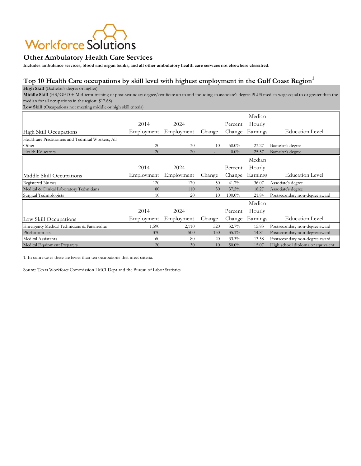

#### **Other Ambulatory Health Care Services**

**Includes ambulance services, blood and organ banks, and all other ambulatory health care services not elsewhere classified.**

# **Top 10 Health Care occupations by skill level with highest employment in the Gulf Coast Region<sup>1</sup>**

**High Skill** (Bachelor's degree or higher)

**Middle Skill** (HS/GED + Mid-term training or post-secondary degree/certificate up to and including an associate's degree PLUS median wage equal to or greater than the median for all occupations in the region: \$17.68)

Low Skill (Occupations not meeting middle or high skill criteria)

|                                                     |            |            |        |           | Median                |                                   |
|-----------------------------------------------------|------------|------------|--------|-----------|-----------------------|-----------------------------------|
|                                                     | 2014       | 2024       |        | Percent   | Hourly                |                                   |
| High Skill Occupations                              | Employment | Employment | Change | Change    | Earnings              | <b>Education Level</b>            |
| Healthcare Practitioners and Technical Workers, All |            |            |        |           |                       |                                   |
| Other                                               | 20         | 30         | 10     | $50.0\%$  | 23.27                 | Bachelor's degree                 |
| Health Educators                                    | 20         | 20         |        | $0.0\%$   | 25.57                 | Bachelor's degree                 |
|                                                     |            |            |        |           | Median                |                                   |
|                                                     | 2014       | 2024       |        | Percent   | Hourly                |                                   |
| Middle Skill Occupations                            | Employment | Employment | Change | Change    | Earnings!             | <b>Education Level</b>            |
| <b>Registered Nurses</b>                            | 120        | 170        | 50     | 41.7%     | 36.07                 | Associate's degree                |
| Medical & Clinical Laboratory Technicians           | 80         | 110        | 30     | 37.5%     | 18.27                 | Associate's degree                |
| Surgical Technologists                              | 10         | 20         | 10     | $100.0\%$ | 21.84                 | Postsecondary non-degree award    |
|                                                     |            |            |        |           | Median                |                                   |
|                                                     | 2014       | 2024       |        | Percent   | Hourly                |                                   |
| Low Skill Occupations                               | Employment | Employment | Change | Change    | Earnings <sup>1</sup> | <b>Education Level</b>            |
| Emergency Medical Technicians & Paramedics          | 1,590      | 2,110      | 520    | 32.7%     | 15.83                 | Postsecondary non-degree award    |
| Phlebotomists                                       | 370        | 500        | 130    | $35.1\%$  | 14.84                 | Postsecondary non-degree award    |
| Medical Assistants                                  | 60         | 80         | 20     | 33.3%     | 13.58                 | Postsecondary non-degree award    |
| Medical Equipment Preparers                         | 20         | 30         | 10     | $50.0\%$  | 15.07                 | High school diploma or equivalent |

1. In some cases there are fewer than ten occupations that meet criteria.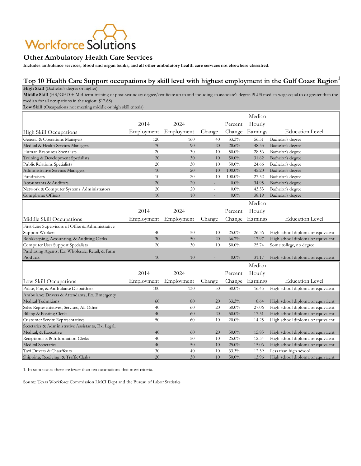#### **Other Ambulatory Health Care Services**

**Includes ambulance services, blood and organ banks, and all other ambulatory health care services not elsewhere classified.**

### **Top 10 Health Care Support occupations by skill level with highest employment in the Gulf Coast Region<sup>1</sup>**

**High Skill** (Bachelor's degree or higher)

**Middle Skill** (HS/GED + Mid-term training or post-secondary degree/certificate up to and including an associate's degree PLUS median wage equal to or greater than the median for all occupations in the region: \$17.68)

Low Skill (Occupations not meeting middle or high skill criteria)

|                                                     |            |            |        |           | Median   |                                   |
|-----------------------------------------------------|------------|------------|--------|-----------|----------|-----------------------------------|
|                                                     | 2014       | 2024       |        | Percent   | Hourly   |                                   |
| High Skill Occupations                              | Employment | Employment | Change | Change    | Earnings | <b>Education Level</b>            |
| General & Operations Managers                       | 120        | 160        | 40     | 33.3%     | 56.51    | Bachelor's degree                 |
| Medical & Health Services Managers                  | 70         | 90         | 20     | 28.6%     | 48.53    | Bachelor's degree                 |
| Human Resources Specialists                         | 20         | 30         | 10     | $50.0\%$  | 28.56    | Bachelor's degree                 |
| Training & Development Specialists                  | 20         | 30         | 10     | $50.0\%$  | 31.62    | Bachelor's degree                 |
| Public Relations Specialists                        | 20         | 30         | 10     | $50.0\%$  | 24.66    | Bachelor's degree                 |
| Administrative Services Managers                    | 10         | 20         | 10     | 100.0%    | 45.20    | Bachelor's degree                 |
| Fundraisers                                         | 10         | 20         | 10     | $100.0\%$ | 27.52    | Bachelor's degree                 |
| Accountants & Auditors                              | 20         | 20         |        | $0.0\%$   | 34.95    | Bachelor's degree                 |
| Network & Computer Systems Administrators           | 20         | 20         | ÷,     | $0.0\%$   | 43.53    | Bachelor's degree                 |
| Compliance Officers                                 | 10         | $10\,$     | ÷      | $0.0\%$   | 38.19    | Bachelor's degree                 |
|                                                     |            |            |        |           | Median   |                                   |
|                                                     | 2014       | 2024       |        | Percent   | Hourly   |                                   |
| Middle Skill Occupations                            | Employment | Employment | Change | Change    | Earnings | <b>Education Level</b>            |
| First-Line Supervisors of Office & Administrative   |            |            |        |           |          |                                   |
| Support Workers                                     | 40         | 50         | 10     | 25.0%     | 26.36    | High school diploma or equivalent |
| Bookkeeping, Accounting, & Auditing Clerks          | 30         | 50         | 20     | $66.7\%$  | 17.97    | High school diploma or equivalent |
| Computer User Support Specialists                   | 20         | 30         | 10     | $50.0\%$  | 25.74    | Some college, no degree           |
| Purchasing Agents, Ex. Wholesale, Retail, & Farm    |            |            |        |           |          |                                   |
| Products                                            | 10         | 10         |        | $0.0\%$   | 31.17    | High school diploma or equivalent |
|                                                     |            |            |        |           | Median   |                                   |
|                                                     | 2014       | 2024       |        | Percent   | Hourly   |                                   |
| Low Skill Occupations                               | Employment | Employment | Change | Change    | Earnings | <b>Education Level</b>            |
| Police, Fire, & Ambulance Dispatchers               | 100        | 130        | 30     | $30.0\%$  | 16.45    | High school diploma or equivalent |
| Ambulance Drivers & Attendants, Ex. Emergency       |            |            |        |           |          |                                   |
| Medical Technicians                                 | 60         | 80         | 20     | 33.3%     | 8.64     | High school diploma or equivalent |
| Sales Representatives, Services, All Other          | 40         | 60         | 20     | $50.0\%$  | 27.06    | High school diploma or equivalent |
| Billing & Posting Clerks                            | 40         | 60         | 20     | $50.0\%$  | 17.51    | High school diploma or equivalent |
| Customer Service Representatives                    | 50         | 60         | 10     | $20.0\%$  | 14.25    | High school diploma or equivalent |
| Secretaries & Administrative Assistants, Ex. Legal, |            |            |        |           |          |                                   |
| Medical, & Executive                                | 40         | 60         | 20     | $50.0\%$  | 15.85    | High school diploma or equivalent |
| Receptionists & Information Clerks                  | 40         | 50         | 10     | 25.0%     | 12.54    | High school diploma or equivalent |
| Medical Secretaries                                 | 40         | 50         | 10     | 25.0%     | 15.06    | High school diploma or equivalent |
| Taxi Drivers & Chauffeurs                           | 30         | 40         | 10     | 33.3%     | 12.39    | Less than high school             |
| Shipping, Receiving, & Traffic Clerks               | 20         | 30         | 10     | $50.0\%$  | 13.96    | High school diploma or equivalent |

1. In some cases there are fewer than ten occupations that meet criteria.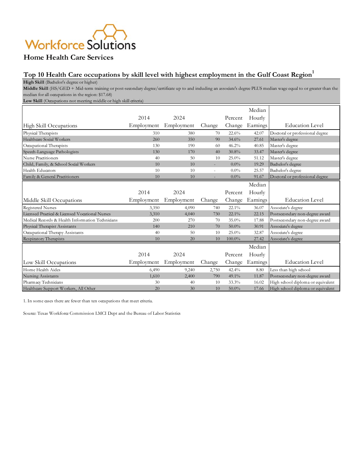## **Home Health Care Services**

# **Top 10 Health Care occupations by skill level with highest employment in the Gulf Coast Region<sup>1</sup>**

**High Skill** (Bachelor's degree or higher)

**Middle Skill** (HS/GED + Mid-term training or post-secondary degree/certificate up to and including an associate's degree PLUS median wage equal to or greater than the median for all occupations in the region: \$17.68)

Low Skill (Occupations not meeting middle or high skill criteria)

|                                                  |            |            |                |          | Median   |                                   |
|--------------------------------------------------|------------|------------|----------------|----------|----------|-----------------------------------|
|                                                  | 2014       | 2024       |                | Percent  | Hourly   |                                   |
| High Skill Occupations                           | Employment | Employment | Change         | Change   | Earnings | <b>Education Level</b>            |
| Physical Therapists                              | 310        | 380        | 70             | 22.6%    | 42.07    | Doctoral or professional degree   |
| Healthcare Social Workers                        | 260        | 350        | 90             | 34.6%    | 27.61    | Master's degree                   |
| Occupational Therapists                          | 130        | 190        | 60             | 46.2%    | 40.85    | Master's degree                   |
| Speech-Language Pathologists                     | 130        | 170        | 40             | 30.8%    | 33.47    | Master's degree                   |
| <b>Nurse Practitioners</b>                       | 40         | 50         | 10             | 25.0%    | 51.12    | Master's degree                   |
| Child, Family, & School Social Workers           | 10         | 10         | $\overline{a}$ | $0.0\%$  | 19.29    | Bachelor's degree                 |
| Health Educators                                 | 10         | 10         |                | $0.0\%$  | 25.57    | Bachelor's degree                 |
| Family & General Practitioners                   | 10         | 10         |                | $0.0\%$  | 91.67    | Doctoral or professional degree   |
|                                                  |            |            |                |          | Median   |                                   |
|                                                  | 2014       | 2024       |                | Percent  | Hourly   |                                   |
| Middle Skill Occupations                         | Employment | Employment | Change         | Change   | Earnings | <b>Education Level</b>            |
| <b>Registered Nurses</b>                         | 3,350      | 4,090      | 740            | $22.1\%$ | 36.07    | Associate's degree                |
| Licensed Practical & Licensed Vocational Nurses  | 3,310      | 4,040      | 730            | $22.1\%$ | 22.15    | Postsecondary non-degree award    |
| Medical Records & Health Information Technicians | 200        | 270        | 70             | 35.0%    | 17.88    | Postsecondary non-degree award    |
| Physical Therapist Assistants                    | 140        | 210        | 70             | $50.0\%$ | 30.91    | Associate's degree                |
| Occupational Therapy Assistants                  | 40         | 50         | 10             | 25.0%    | 32.87    | Associate's degree                |
| Respiratory Therapists                           | 10         | 20         | 10             | 100.0%   | 27.42    | Associate's degree                |
|                                                  |            |            |                |          | Median   |                                   |
|                                                  | 2014       | 2024       |                | Percent  | Hourly   |                                   |
| Low Skill Occupations                            | Employment | Employment | Change         | Change   | Earnings | <b>Education Level</b>            |
| Home Health Aides                                | 6,490      | 9,240      | 2,750          | 42.4%    | 8.80     | Less than high school             |
| Nursing Assistants                               | 1,610      | 2,400      | 790            | $49.1\%$ | 11.87    | Postsecondary non-degree award    |
| Pharmacy Technicians                             | 30         | 40         | 10             | 33.3%    | 16.02    | High school diploma or equivalent |
| Healthcare Support Workers, All Other            | 20         | 30         | 10             | $50.0\%$ | 17.66    | High school diploma or equivalent |

1. In some cases there are fewer than ten occupations that meet criteria.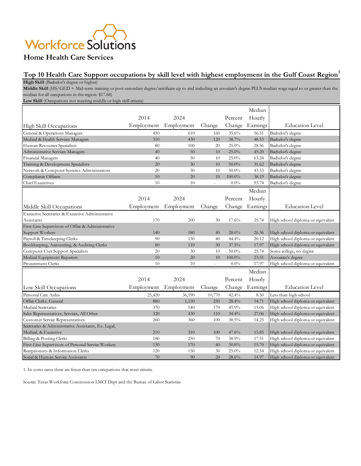## **Home Health Care Services**

#### **Top 10 Health Care Support occupations by skill level with highest employment in the Gulf Coast Region<sup>1</sup>**

**High Skill** (Bachelor's degree or higher)

**Middle Skill** (HS/GED + Mid-term training or post-secondary degree/certificate up to and including an associate's degree PLUS median wage equal to or greater than the median for all occupations in the region: \$17.68)

Low Skill (Occupations not meeting middle or high skill criteria)

|                                                     |            |                       |                          |           | Median   |                                   |
|-----------------------------------------------------|------------|-----------------------|--------------------------|-----------|----------|-----------------------------------|
|                                                     | 2014       | 2024                  |                          | Percent   | Hourly   |                                   |
| High Skill Occupations                              | Employment | Employment            | Change                   | Change    | Earnings | <b>Education Level</b>            |
| General & Operations Managers                       | 450        | 610                   | 160                      | 35.6%     | 56.51    | Bachelor's degree                 |
| Medical & Health Services Managers                  | 310        | 430                   | 120                      | $38.7\%$  | 48.53    | Bachelor's degree                 |
| Human Resources Specialists                         | 80         | 100                   | 20                       | 25.0%     | 28.56    | Bachelor's degree                 |
| Administrative Services Managers                    | 40         | 50                    | 10                       | 25.0%     | 45.20    | Bachelor's degree                 |
| Financial Managers                                  | 40         | 50                    | 10                       | 25.0%     | 63.24    | Bachelor's degree                 |
| Training & Development Specialists                  | 20         | 30                    | 10                       | $50.0\%$  | 31.62    | Bachelor's degree                 |
| Network & Computer Systems Administrators           | 20         | 30                    | 10                       | $50.0\%$  | 43.53    | Bachelor's degree                 |
| Compliance Officers                                 | 10         | 20                    | 10                       | $100.0\%$ | 38.19    | Bachelor's degree                 |
| <b>Chief Executives</b>                             | 10         | 10                    | $\bar{a}$                | $0.0\%$   | 93.74    | Bachelor's degree                 |
|                                                     |            |                       |                          |           | Median   |                                   |
|                                                     | 2014       | 2024                  |                          | Percent   | Hourly   |                                   |
| Middle Skill Occupations                            |            | Employment Employment | Change                   | Change    | Earnings | <b>Education Level</b>            |
| Executive Secretaries & Executive Administrative    |            |                       |                          |           |          |                                   |
| Assistants                                          | 170        | 200                   | 30                       | 17.6%     | 25.74    | High school diploma or equivalent |
| First-Line Supervisors of Office & Administrative   |            |                       |                          |           |          |                                   |
| Support Workers                                     | 140        | 180                   | 40                       | 28.6%     | 26.36    | High school diploma or equivalent |
| Payroll & Timekeeping Clerks                        | 90         | 130                   | 40                       | 44.4%     | 20.12    | High school diploma or equivalent |
| Bookkeeping, Accounting, & Auditing Clerks          | 80         | 110                   | 30                       | 37.5%     | 17.97    | High school diploma or equivalent |
| Computer User Support Specialists                   | 20         | 30                    | 10                       | $50.0\%$  | 25.74    | Some college, no degree           |
| Medical Equipment Repairers                         | 10         | 20                    | 10                       | $100.0\%$ | 23.51    | Associate's degree                |
| Procurement Clerks                                  | 10         | 10                    | $\overline{\phantom{a}}$ | $0.0\%$   | 17.97    | High school diploma or equivalent |
|                                                     |            |                       |                          |           | Median   |                                   |
|                                                     | 2014       | 2024                  |                          | Percent   | Hourly   |                                   |
| Low Skill Occupations                               | Employment | Employment            | Change                   | Change    | Earnings | <b>Education Level</b>            |
| Personal Care Aides                                 | 25,420     | 36,190                | 10,770                   | 42.4%     | 8.50     | Less than high school             |
| Office Clerks, General                              | 880        | 1,130                 | 250                      | 28.4%     | 14.71    | High school diploma or equivalent |
| <b>Medical Secretaries</b>                          | 370        | 540                   | 170                      | 45.9%     | 15.06    | High school diploma or equivalent |
| Sales Representatives, Services, All Other          | 320        | 430                   | 110                      | 34.4%     | 27.06    | High school diploma or equivalent |
| Customer Service Representatives                    | 260        | 360                   | 100                      | 38.5%     | 14.25    | High school diploma or equivalent |
| Secretaries & Administrative Assistants, Ex. Legal, |            |                       |                          |           |          |                                   |
| Medical, & Executive                                | 210        | 310                   | 100                      | 47.6%     | 15.85    | High school diploma or equivalent |
| Billing & Posting Clerks                            | 180        | 250                   | 70                       | 38.9%     | 17.51    | High school diploma or equivalent |
| First-Line Supervisors of Personal Service Workers  | 130        | 170                   | 40                       | 30.8%     | 15.70    | High school diploma or equivalent |
| Receptionists & Information Clerks                  | 120        | 150                   | 30                       | 25.0%     | 12.54    | High school diploma or equivalent |
| Social & Human Service Assistants                   | 70         | 90                    | 20                       | 28.6%     | 14.97    | High school diploma or equivalent |

1. In some cases there are fewer than ten occupations that meet criteria.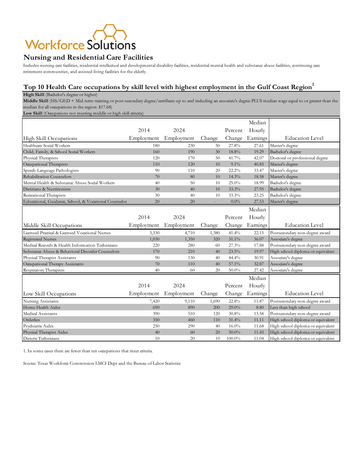

### **Nursing and Residential Care Facilities**

Includes nursing care facilities, residential intellectual and developmental disability facilities, residential mental health and substance abuse facilities, continuing care retirement communities, and assisted living facilities for the elderly.

# **Top 10 Health Care occupations by skill level with highest employment in the Gulf Coast Region<sup>1</sup>**

**High Skill** (Bachelor's degree or higher)

Middle Skill (HS/GED + Mid-term training or post-secondary degree/certificate up to and induding an associate's degree PLUS median wage equal to or greater than the median for all occupations in the region: \$17.68)

Low Skill (Occupations not meeting middle or high skill criteria)

|                                                       |                       |                       |        |          | Median   |                                   |
|-------------------------------------------------------|-----------------------|-----------------------|--------|----------|----------|-----------------------------------|
|                                                       | 2014                  | 2024                  |        | Percent  | Hourly   |                                   |
| High Skill Occupations                                | Employment Employment |                       | Change | Change   | Earnings | <b>Education Level</b>            |
| Healthcare Social Workers                             | 180                   | 230                   | 50     | 27.8%    | 27.61    | Master's degree                   |
| Child, Family, & School Social Workers                | 160                   | 190                   | 30     | 18.8%    | 19.29    | Bachelor's degree                 |
| Physical Therapists                                   | 120                   | 170                   | 50     | 41.7%    | 42.07    | Doctoral or professional degree   |
| Occupational Therapists                               | 110                   | 120                   | 10     | 9.1%     | 40.85    | Master's degree                   |
| Speech-Language Pathologists                          | 90                    | 110                   | 20     | 22.2%    | 33.47    | Master's degree                   |
| Rehabilitation Counselors                             | 70                    | 80                    | 10     | 14.3%    | 18.58    | Master's degree                   |
| Mental Health & Substance Abuse Social Workers        | 40                    | 50                    | 10     | 25.0%    | 18.99    | Bachelor's degree                 |
| Dietitians & Nutritionists                            | 30                    | 40                    | 10     | 33.3%    | 27.95    | Bachelor's degree                 |
| Recreational Therapists                               | 30                    | 40                    | 10     | 33.3%    | 23.25    | Bachelor's degree                 |
| Educational, Guidance, School, & Vocational Counselor | 20                    | 20                    |        | 0.0%     | 27.53    | Master's degree                   |
|                                                       |                       |                       |        |          | Median   |                                   |
|                                                       | 2014                  | 2024                  |        | Percent  | Hourly   |                                   |
| Middle Skill Occupations                              | Employment            | Employment            | Change | Change   | Earnings | <b>Education</b> Level            |
| Licensed Practical & Licensed Vocational Nurses       | 3,330                 | 4,710                 | 1,380  | 41.4%    | 22.15    | Postsecondary non-degree award    |
| <b>Registered Nurses</b>                              | 1,030                 | 1,350                 | 320    | 31.1%    | 36.07    | Associate's degree                |
| Medical Records & Health Information Technicians      | 220                   | 280                   | 60     | 27.3%    | 17.88    | Postsecondary non-degree award    |
| Substance Abuse & Behavioral Disorder Counselors      | 170                   | 210                   | 40     | 23.5%    | 19.97    | High school diploma or equivalent |
| Physical Therapist Assistants                         | 90                    | 130                   | 40     | 44.4%    | 30.91    | Associate's degree                |
| Occupational Therapy Assistants                       | 70                    | 110                   | 40     | 57.1%    | 32.87    | Associate's degree                |
| Respiratory Therapists                                | 40                    | 60                    | 20     | $50.0\%$ | 27.42    | Associate's degree                |
|                                                       |                       |                       |        |          | Median   |                                   |
|                                                       | 2014                  | 2024                  |        | Percent  | Hourly   |                                   |
| Low Skill Occupations                                 |                       | Employment Employment | Change | Change   | Earnings | <b>Education Level</b>            |
| Nursing Assistants                                    | 7,420                 | 9,110                 | 1,690  | 22.8%    | 11.87    | Postsecondary non-degree award    |
| Home Health Aides                                     | 690                   | 890                   | 200    | $29.0\%$ | 8.80     | Less than high school             |
| Medical Assistants                                    | 390                   | 510                   | 120    | 30.8%    | 13.58    | Postsecondary non-degree award    |
| Orderlies                                             | 350                   | 460                   | 110    | 31.4%    | 11.11    | High school diploma or equivalent |
| Psychiatric Aides                                     | 250                   | 290                   | 40     | $16.0\%$ | 11.68    | High school diploma or equivalent |
| Physical Therapist Aides                              | 40                    | 60                    | 20     | $50.0\%$ | 11.45    | High school diploma or equivalent |
| Dietetic Technicians                                  | 10                    | 20                    | 10     | 100.0%   | 11.04    | High school diploma or equivalent |

1. In some cases there are fewer than ten occupations that meet criteria.